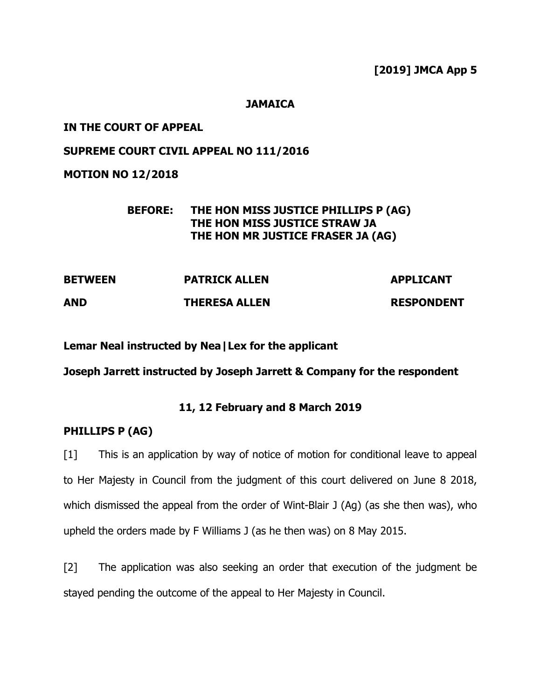**[2019] JMCA App 5**

## **JAMAICA**

## **IN THE COURT OF APPEAL**

# **SUPREME COURT CIVIL APPEAL NO 111/2016**

**MOTION NO 12/2018**

## **BEFORE: THE HON MISS JUSTICE PHILLIPS P (AG) THE HON MISS JUSTICE STRAW JA THE HON MR JUSTICE FRASER JA (AG)**

| <b>BETWEEN</b> | <b>PATRICK ALLEN</b> | <b>APPLICANT</b>  |
|----------------|----------------------|-------------------|
| <b>AND</b>     | <b>THERESA ALLEN</b> | <b>RESPONDENT</b> |

**Lemar Neal instructed by Nea|Lex for the applicant**

**Joseph Jarrett instructed by Joseph Jarrett & Company for the respondent**

# **11, 12 February and 8 March 2019**

## **PHILLIPS P (AG)**

[1] This is an application by way of notice of motion for conditional leave to appeal to Her Majesty in Council from the judgment of this court delivered on June 8 2018, which dismissed the appeal from the order of Wint-Blair J (Ag) (as she then was), who upheld the orders made by F Williams J (as he then was) on 8 May 2015.

[2] The application was also seeking an order that execution of the judgment be stayed pending the outcome of the appeal to Her Majesty in Council.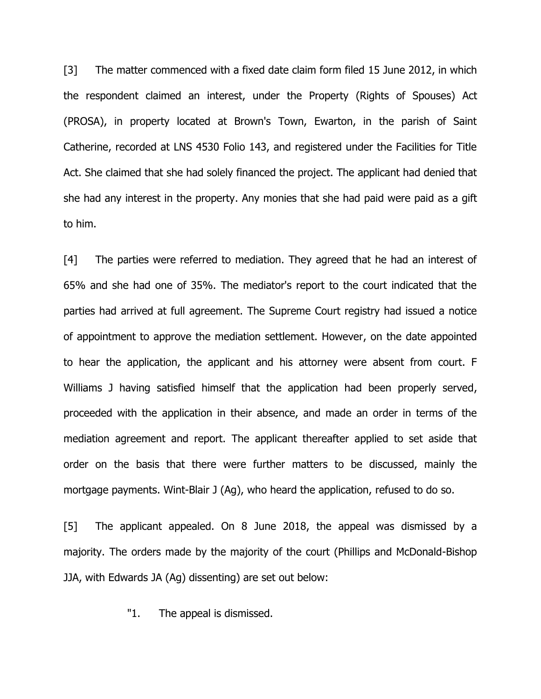[3] The matter commenced with a fixed date claim form filed 15 June 2012, in which the respondent claimed an interest, under the Property (Rights of Spouses) Act (PROSA), in property located at Brown's Town, Ewarton, in the parish of Saint Catherine, recorded at LNS 4530 Folio 143, and registered under the Facilities for Title Act. She claimed that she had solely financed the project. The applicant had denied that she had any interest in the property. Any monies that she had paid were paid as a gift to him.

[4] The parties were referred to mediation. They agreed that he had an interest of 65% and she had one of 35%. The mediator's report to the court indicated that the parties had arrived at full agreement. The Supreme Court registry had issued a notice of appointment to approve the mediation settlement. However, on the date appointed to hear the application, the applicant and his attorney were absent from court. F Williams J having satisfied himself that the application had been properly served, proceeded with the application in their absence, and made an order in terms of the mediation agreement and report. The applicant thereafter applied to set aside that order on the basis that there were further matters to be discussed, mainly the mortgage payments. Wint-Blair J (Ag), who heard the application, refused to do so.

[5] The applicant appealed. On 8 June 2018, the appeal was dismissed by a majority. The orders made by the majority of the court (Phillips and McDonald-Bishop JJA, with Edwards JA (Ag) dissenting) are set out below:

"1. The appeal is dismissed.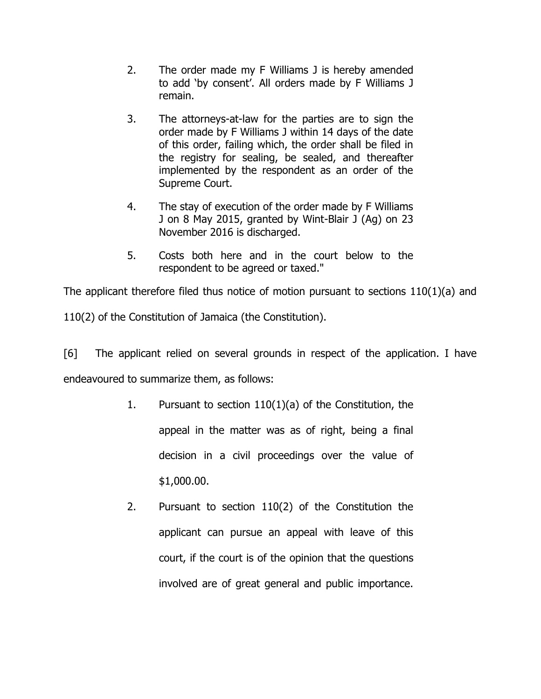- 2. The order made my F Williams J is hereby amended to add 'by consent'. All orders made by F Williams J remain.
- 3. The attorneys-at-law for the parties are to sign the order made by F Williams J within 14 days of the date of this order, failing which, the order shall be filed in the registry for sealing, be sealed, and thereafter implemented by the respondent as an order of the Supreme Court.
- 4. The stay of execution of the order made by F Williams J on 8 May 2015, granted by Wint-Blair J (Ag) on 23 November 2016 is discharged.
- 5. Costs both here and in the court below to the respondent to be agreed or taxed."

The applicant therefore filed thus notice of motion pursuant to sections 110(1)(a) and

110(2) of the Constitution of Jamaica (the Constitution).

[6] The applicant relied on several grounds in respect of the application. I have endeavoured to summarize them, as follows:

- 1. Pursuant to section 110(1)(a) of the Constitution, the appeal in the matter was as of right, being a final decision in a civil proceedings over the value of \$1,000.00.
- 2. Pursuant to section 110(2) of the Constitution the applicant can pursue an appeal with leave of this court, if the court is of the opinion that the questions involved are of great general and public importance.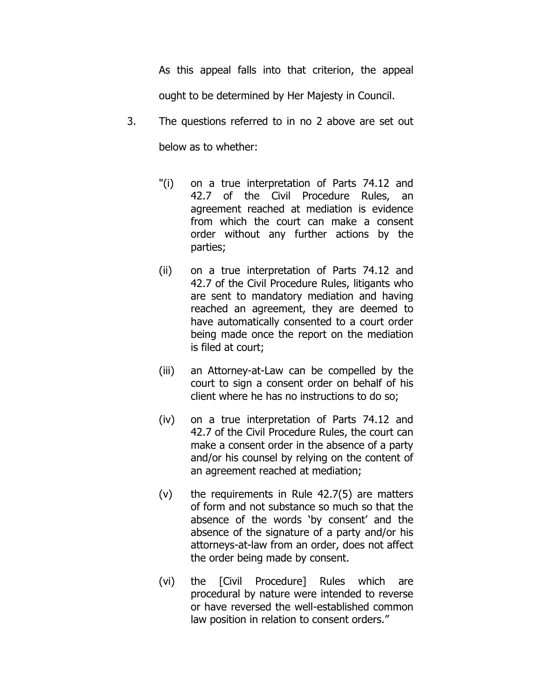As this appeal falls into that criterion, the appeal ought to be determined by Her Majesty in Council.

3. The questions referred to in no 2 above are set out

below as to whether:

- "(i) on a true interpretation of Parts 74.12 and 42.7 of the Civil Procedure Rules, an agreement reached at mediation is evidence from which the court can make a consent order without any further actions by the parties;
- (ii) on a true interpretation of Parts 74.12 and 42.7 of the Civil Procedure Rules, litigants who are sent to mandatory mediation and having reached an agreement, they are deemed to have automatically consented to a court order being made once the report on the mediation is filed at court;
- (iii) an Attorney-at-Law can be compelled by the court to sign a consent order on behalf of his client where he has no instructions to do so;
- (iv) on a true interpretation of Parts 74.12 and 42.7 of the Civil Procedure Rules, the court can make a consent order in the absence of a party and/or his counsel by relying on the content of an agreement reached at mediation;
- (v) the requirements in Rule 42.7(5) are matters of form and not substance so much so that the absence of the words 'by consent' and the absence of the signature of a party and/or his attorneys-at-law from an order, does not affect the order being made by consent.
- (vi) the [Civil Procedure] Rules which are procedural by nature were intended to reverse or have reversed the well-established common law position in relation to consent orders."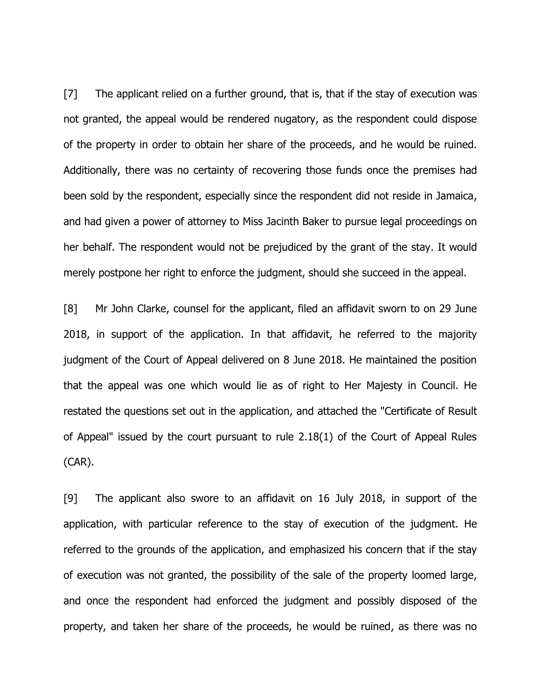[7] The applicant relied on a further ground, that is, that if the stay of execution was not granted, the appeal would be rendered nugatory, as the respondent could dispose of the property in order to obtain her share of the proceeds, and he would be ruined. Additionally, there was no certainty of recovering those funds once the premises had been sold by the respondent, especially since the respondent did not reside in Jamaica, and had given a power of attorney to Miss Jacinth Baker to pursue legal proceedings on her behalf. The respondent would not be prejudiced by the grant of the stay. It would merely postpone her right to enforce the judgment, should she succeed in the appeal.

[8] Mr John Clarke, counsel for the applicant, filed an affidavit sworn to on 29 June 2018, in support of the application. In that affidavit, he referred to the majority judgment of the Court of Appeal delivered on 8 June 2018. He maintained the position that the appeal was one which would lie as of right to Her Majesty in Council. He restated the questions set out in the application, and attached the "Certificate of Result of Appeal" issued by the court pursuant to rule 2.18(1) of the Court of Appeal Rules (CAR).

[9] The applicant also swore to an affidavit on 16 July 2018, in support of the application, with particular reference to the stay of execution of the judgment. He referred to the grounds of the application, and emphasized his concern that if the stay of execution was not granted, the possibility of the sale of the property loomed large, and once the respondent had enforced the judgment and possibly disposed of the property, and taken her share of the proceeds, he would be ruined, as there was no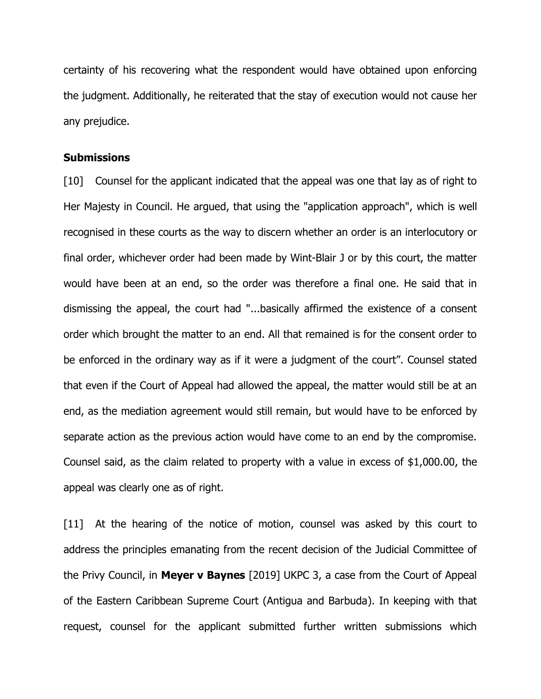certainty of his recovering what the respondent would have obtained upon enforcing the judgment. Additionally, he reiterated that the stay of execution would not cause her any prejudice.

#### **Submissions**

[10] Counsel for the applicant indicated that the appeal was one that lay as of right to Her Majesty in Council. He argued, that using the "application approach", which is well recognised in these courts as the way to discern whether an order is an interlocutory or final order, whichever order had been made by Wint-Blair J or by this court, the matter would have been at an end, so the order was therefore a final one. He said that in dismissing the appeal, the court had "...basically affirmed the existence of a consent order which brought the matter to an end. All that remained is for the consent order to be enforced in the ordinary way as if it were a judgment of the court". Counsel stated that even if the Court of Appeal had allowed the appeal, the matter would still be at an end, as the mediation agreement would still remain, but would have to be enforced by separate action as the previous action would have come to an end by the compromise. Counsel said, as the claim related to property with a value in excess of \$1,000.00, the appeal was clearly one as of right.

[11] At the hearing of the notice of motion, counsel was asked by this court to address the principles emanating from the recent decision of the Judicial Committee of the Privy Council, in **Meyer v Baynes** [2019] UKPC 3, a case from the Court of Appeal of the Eastern Caribbean Supreme Court (Antigua and Barbuda). In keeping with that request, counsel for the applicant submitted further written submissions which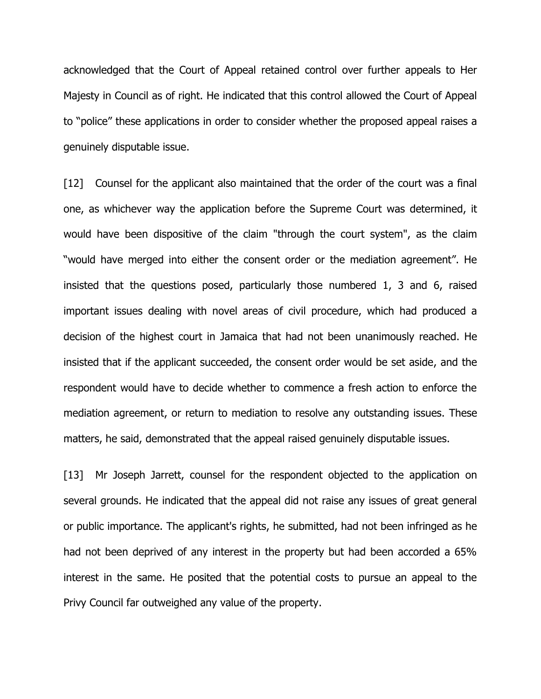acknowledged that the Court of Appeal retained control over further appeals to Her Majesty in Council as of right. He indicated that this control allowed the Court of Appeal to "police" these applications in order to consider whether the proposed appeal raises a genuinely disputable issue.

[12] Counsel for the applicant also maintained that the order of the court was a final one, as whichever way the application before the Supreme Court was determined, it would have been dispositive of the claim "through the court system", as the claim "would have merged into either the consent order or the mediation agreement". He insisted that the questions posed, particularly those numbered 1, 3 and 6, raised important issues dealing with novel areas of civil procedure, which had produced a decision of the highest court in Jamaica that had not been unanimously reached. He insisted that if the applicant succeeded, the consent order would be set aside, and the respondent would have to decide whether to commence a fresh action to enforce the mediation agreement, or return to mediation to resolve any outstanding issues. These matters, he said, demonstrated that the appeal raised genuinely disputable issues.

[13] Mr Joseph Jarrett, counsel for the respondent objected to the application on several grounds. He indicated that the appeal did not raise any issues of great general or public importance. The applicant's rights, he submitted, had not been infringed as he had not been deprived of any interest in the property but had been accorded a 65% interest in the same. He posited that the potential costs to pursue an appeal to the Privy Council far outweighed any value of the property.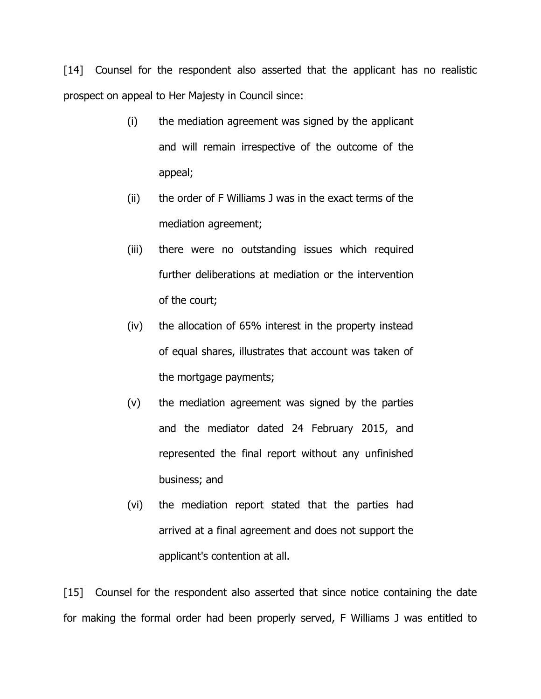[14] Counsel for the respondent also asserted that the applicant has no realistic prospect on appeal to Her Majesty in Council since:

- (i) the mediation agreement was signed by the applicant and will remain irrespective of the outcome of the appeal;
- (ii) the order of F Williams J was in the exact terms of the mediation agreement;
- (iii) there were no outstanding issues which required further deliberations at mediation or the intervention of the court;
- (iv) the allocation of 65% interest in the property instead of equal shares, illustrates that account was taken of the mortgage payments;
- (v) the mediation agreement was signed by the parties and the mediator dated 24 February 2015, and represented the final report without any unfinished business; and
- (vi) the mediation report stated that the parties had arrived at a final agreement and does not support the applicant's contention at all.

[15] Counsel for the respondent also asserted that since notice containing the date for making the formal order had been properly served, F Williams J was entitled to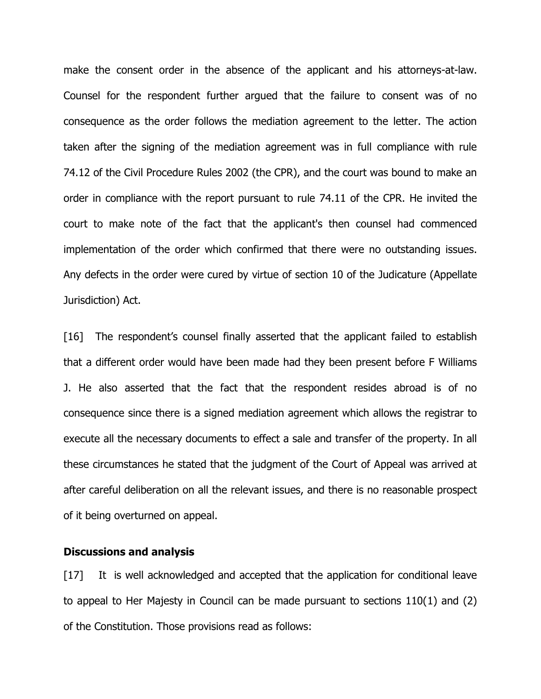make the consent order in the absence of the applicant and his attorneys-at-law. Counsel for the respondent further argued that the failure to consent was of no consequence as the order follows the mediation agreement to the letter. The action taken after the signing of the mediation agreement was in full compliance with rule 74.12 of the Civil Procedure Rules 2002 (the CPR), and the court was bound to make an order in compliance with the report pursuant to rule 74.11 of the CPR. He invited the court to make note of the fact that the applicant's then counsel had commenced implementation of the order which confirmed that there were no outstanding issues. Any defects in the order were cured by virtue of section 10 of the Judicature (Appellate Jurisdiction) Act.

[16] The respondent's counsel finally asserted that the applicant failed to establish that a different order would have been made had they been present before F Williams J. He also asserted that the fact that the respondent resides abroad is of no consequence since there is a signed mediation agreement which allows the registrar to execute all the necessary documents to effect a sale and transfer of the property. In all these circumstances he stated that the judgment of the Court of Appeal was arrived at after careful deliberation on all the relevant issues, and there is no reasonable prospect of it being overturned on appeal.

#### **Discussions and analysis**

[17] It is well acknowledged and accepted that the application for conditional leave to appeal to Her Majesty in Council can be made pursuant to sections 110(1) and (2) of the Constitution. Those provisions read as follows: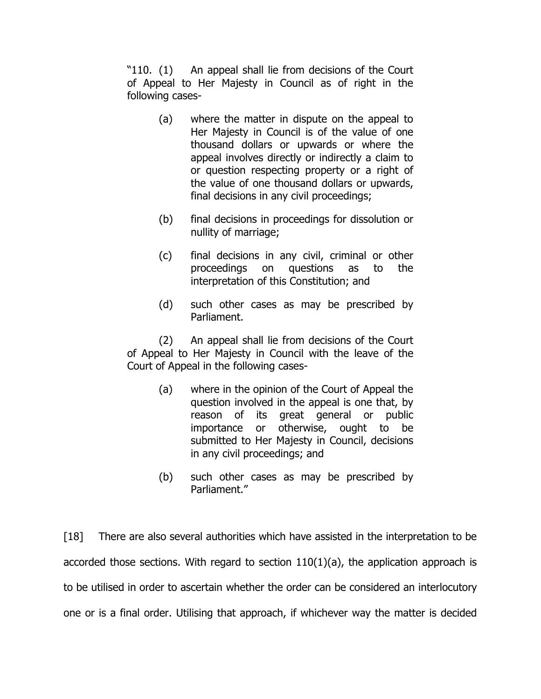"110. (1) An appeal shall lie from decisions of the Court of Appeal to Her Majesty in Council as of right in the following cases-

- (a) where the matter in dispute on the appeal to Her Majesty in Council is of the value of one thousand dollars or upwards or where the appeal involves directly or indirectly a claim to or question respecting property or a right of the value of one thousand dollars or upwards, final decisions in any civil proceedings;
- (b) final decisions in proceedings for dissolution or nullity of marriage;
- (c) final decisions in any civil, criminal or other proceedings on questions as to the interpretation of this Constitution; and
- (d) such other cases as may be prescribed by Parliament.

(2) An appeal shall lie from decisions of the Court of Appeal to Her Majesty in Council with the leave of the Court of Appeal in the following cases-

- (a) where in the opinion of the Court of Appeal the question involved in the appeal is one that, by reason of its great general or public importance or otherwise, ought to be submitted to Her Majesty in Council, decisions in any civil proceedings; and
- (b) such other cases as may be prescribed by Parliament."

[18] There are also several authorities which have assisted in the interpretation to be accorded those sections. With regard to section 110(1)(a), the application approach is to be utilised in order to ascertain whether the order can be considered an interlocutory one or is a final order. Utilising that approach, if whichever way the matter is decided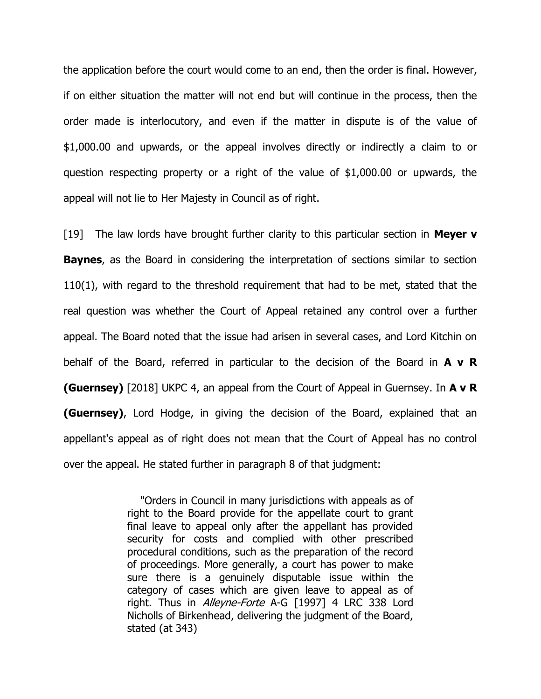the application before the court would come to an end, then the order is final. However, if on either situation the matter will not end but will continue in the process, then the order made is interlocutory, and even if the matter in dispute is of the value of \$1,000.00 and upwards, or the appeal involves directly or indirectly a claim to or question respecting property or a right of the value of \$1,000.00 or upwards, the appeal will not lie to Her Majesty in Council as of right.

[19] The law lords have brought further clarity to this particular section in **Meyer v Baynes**, as the Board in considering the interpretation of sections similar to section 110(1), with regard to the threshold requirement that had to be met, stated that the real question was whether the Court of Appeal retained any control over a further appeal. The Board noted that the issue had arisen in several cases, and Lord Kitchin on behalf of the Board, referred in particular to the decision of the Board in **A v R (Guernsey)** [2018] UKPC 4, an appeal from the Court of Appeal in Guernsey. In **A v R (Guernsey)**, Lord Hodge, in giving the decision of the Board, explained that an appellant's appeal as of right does not mean that the Court of Appeal has no control over the appeal. He stated further in paragraph 8 of that judgment:

> "Orders in Council in many jurisdictions with appeals as of right to the Board provide for the appellate court to grant final leave to appeal only after the appellant has provided security for costs and complied with other prescribed procedural conditions, such as the preparation of the record of proceedings. More generally, a court has power to make sure there is a genuinely disputable issue within the category of cases which are given leave to appeal as of right. Thus in Alleyne-Forte A-G [1997] 4 LRC 338 Lord Nicholls of Birkenhead, delivering the judgment of the Board, stated (at 343)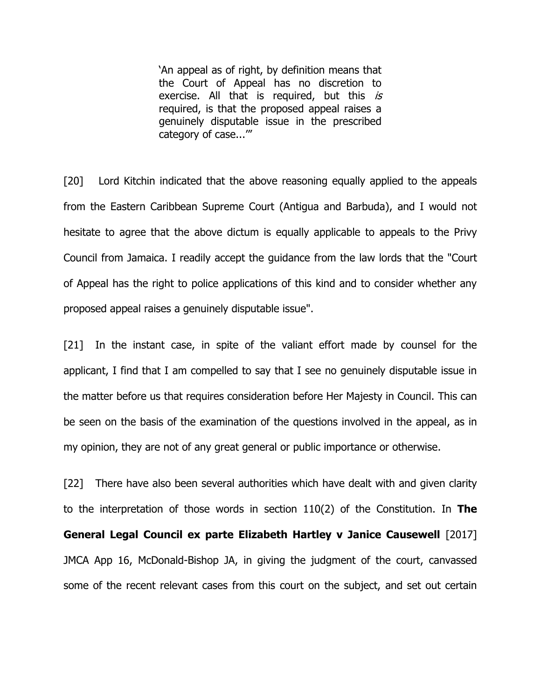'An appeal as of right, by definition means that the Court of Appeal has no discretion to exercise. All that is required, but this  $is$ required, is that the proposed appeal raises a genuinely disputable issue in the prescribed category of case...'"

[20] Lord Kitchin indicated that the above reasoning equally applied to the appeals from the Eastern Caribbean Supreme Court (Antigua and Barbuda), and I would not hesitate to agree that the above dictum is equally applicable to appeals to the Privy Council from Jamaica. I readily accept the guidance from the law lords that the "Court of Appeal has the right to police applications of this kind and to consider whether any proposed appeal raises a genuinely disputable issue".

[21] In the instant case, in spite of the valiant effort made by counsel for the applicant, I find that I am compelled to say that I see no genuinely disputable issue in the matter before us that requires consideration before Her Majesty in Council. This can be seen on the basis of the examination of the questions involved in the appeal, as in my opinion, they are not of any great general or public importance or otherwise.

[22] There have also been several authorities which have dealt with and given clarity to the interpretation of those words in section 110(2) of the Constitution. In **The General Legal Council ex parte Elizabeth Hartley v Janice Causewell** [2017] JMCA App 16, McDonald-Bishop JA, in giving the judgment of the court, canvassed some of the recent relevant cases from this court on the subject, and set out certain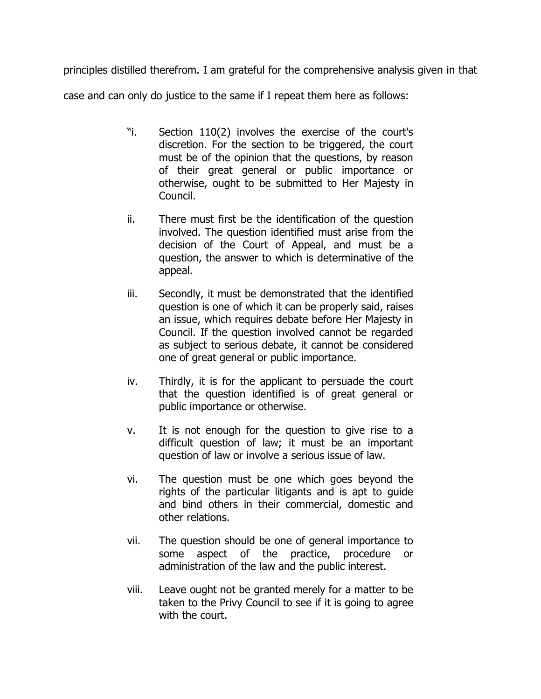principles distilled therefrom. I am grateful for the comprehensive analysis given in that

case and can only do justice to the same if I repeat them here as follows:

- "i. Section 110(2) involves the exercise of the court's discretion. For the section to be triggered, the court must be of the opinion that the questions, by reason of their great general or public importance or otherwise, ought to be submitted to Her Majesty in Council.
- ii. There must first be the identification of the question involved. The question identified must arise from the decision of the Court of Appeal, and must be a question, the answer to which is determinative of the appeal.
- iii. Secondly, it must be demonstrated that the identified question is one of which it can be properly said, raises an issue, which requires debate before Her Majesty in Council. If the question involved cannot be regarded as subject to serious debate, it cannot be considered one of great general or public importance.
- iv. Thirdly, it is for the applicant to persuade the court that the question identified is of great general or public importance or otherwise.
- v. It is not enough for the question to give rise to a difficult question of law; it must be an important question of law or involve a serious issue of law.
- vi. The question must be one which goes beyond the rights of the particular litigants and is apt to guide and bind others in their commercial, domestic and other relations.
- vii. The question should be one of general importance to some aspect of the practice, procedure or administration of the law and the public interest.
- viii. Leave ought not be granted merely for a matter to be taken to the Privy Council to see if it is going to agree with the court.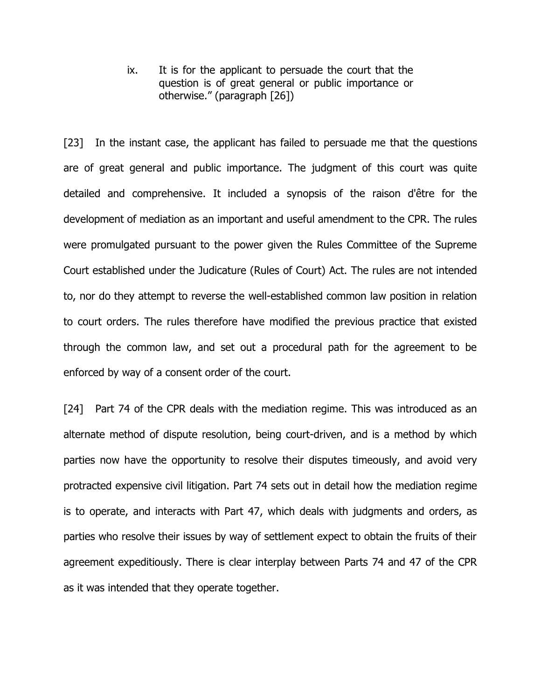ix. It is for the applicant to persuade the court that the question is of great general or public importance or otherwise." (paragraph [26])

[23] In the instant case, the applicant has failed to persuade me that the questions are of great general and public importance. The judgment of this court was quite detailed and comprehensive. It included a synopsis of the raison d'être for the development of mediation as an important and useful amendment to the CPR. The rules were promulgated pursuant to the power given the Rules Committee of the Supreme Court established under the Judicature (Rules of Court) Act. The rules are not intended to, nor do they attempt to reverse the well-established common law position in relation to court orders. The rules therefore have modified the previous practice that existed through the common law, and set out a procedural path for the agreement to be enforced by way of a consent order of the court.

[24] Part 74 of the CPR deals with the mediation regime. This was introduced as an alternate method of dispute resolution, being court-driven, and is a method by which parties now have the opportunity to resolve their disputes timeously, and avoid very protracted expensive civil litigation. Part 74 sets out in detail how the mediation regime is to operate, and interacts with Part 47, which deals with judgments and orders, as parties who resolve their issues by way of settlement expect to obtain the fruits of their agreement expeditiously. There is clear interplay between Parts 74 and 47 of the CPR as it was intended that they operate together.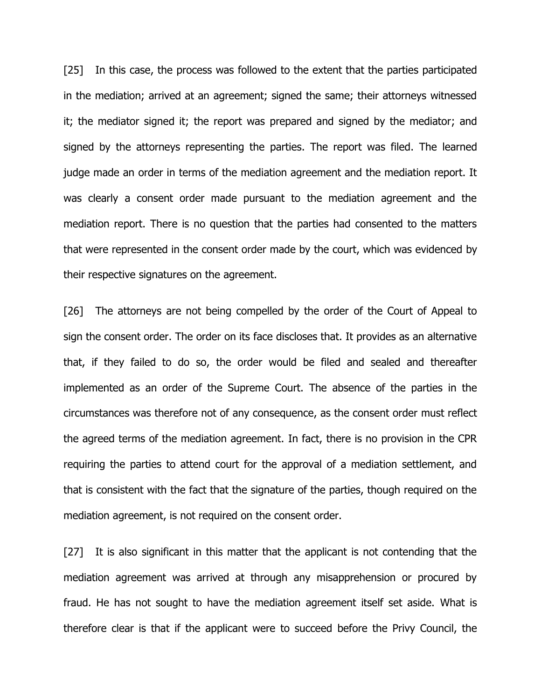[25] In this case, the process was followed to the extent that the parties participated in the mediation; arrived at an agreement; signed the same; their attorneys witnessed it; the mediator signed it; the report was prepared and signed by the mediator; and signed by the attorneys representing the parties. The report was filed. The learned judge made an order in terms of the mediation agreement and the mediation report. It was clearly a consent order made pursuant to the mediation agreement and the mediation report. There is no question that the parties had consented to the matters that were represented in the consent order made by the court, which was evidenced by their respective signatures on the agreement.

[26] The attorneys are not being compelled by the order of the Court of Appeal to sign the consent order. The order on its face discloses that. It provides as an alternative that, if they failed to do so, the order would be filed and sealed and thereafter implemented as an order of the Supreme Court. The absence of the parties in the circumstances was therefore not of any consequence, as the consent order must reflect the agreed terms of the mediation agreement. In fact, there is no provision in the CPR requiring the parties to attend court for the approval of a mediation settlement, and that is consistent with the fact that the signature of the parties, though required on the mediation agreement, is not required on the consent order.

[27] It is also significant in this matter that the applicant is not contending that the mediation agreement was arrived at through any misapprehension or procured by fraud. He has not sought to have the mediation agreement itself set aside. What is therefore clear is that if the applicant were to succeed before the Privy Council, the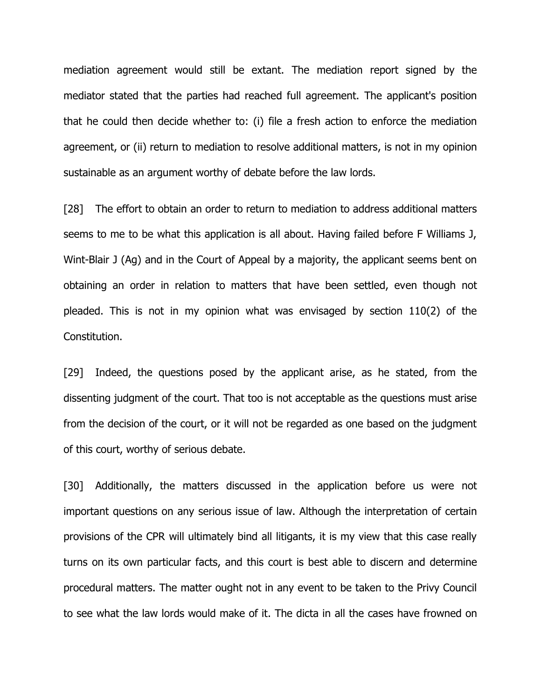mediation agreement would still be extant. The mediation report signed by the mediator stated that the parties had reached full agreement. The applicant's position that he could then decide whether to: (i) file a fresh action to enforce the mediation agreement, or (ii) return to mediation to resolve additional matters, is not in my opinion sustainable as an argument worthy of debate before the law lords.

[28] The effort to obtain an order to return to mediation to address additional matters seems to me to be what this application is all about. Having failed before F Williams J, Wint-Blair J (Ag) and in the Court of Appeal by a majority, the applicant seems bent on obtaining an order in relation to matters that have been settled, even though not pleaded. This is not in my opinion what was envisaged by section 110(2) of the Constitution.

[29] Indeed, the questions posed by the applicant arise, as he stated, from the dissenting judgment of the court. That too is not acceptable as the questions must arise from the decision of the court, or it will not be regarded as one based on the judgment of this court, worthy of serious debate.

[30] Additionally, the matters discussed in the application before us were not important questions on any serious issue of law. Although the interpretation of certain provisions of the CPR will ultimately bind all litigants, it is my view that this case really turns on its own particular facts, and this court is best able to discern and determine procedural matters. The matter ought not in any event to be taken to the Privy Council to see what the law lords would make of it. The dicta in all the cases have frowned on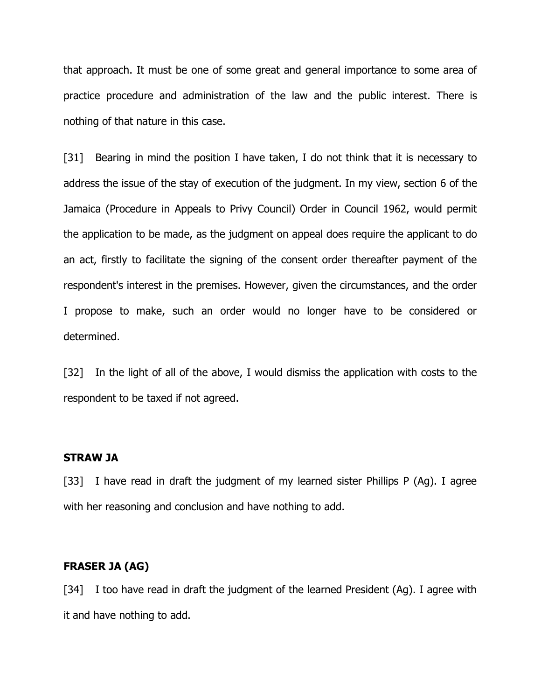that approach. It must be one of some great and general importance to some area of practice procedure and administration of the law and the public interest. There is nothing of that nature in this case.

[31] Bearing in mind the position I have taken, I do not think that it is necessary to address the issue of the stay of execution of the judgment. In my view, section 6 of the Jamaica (Procedure in Appeals to Privy Council) Order in Council 1962, would permit the application to be made, as the judgment on appeal does require the applicant to do an act, firstly to facilitate the signing of the consent order thereafter payment of the respondent's interest in the premises. However, given the circumstances, and the order I propose to make, such an order would no longer have to be considered or determined.

[32] In the light of all of the above, I would dismiss the application with costs to the respondent to be taxed if not agreed.

## **STRAW JA**

[33] I have read in draft the judgment of my learned sister Phillips P (Ag). I agree with her reasoning and conclusion and have nothing to add.

## **FRASER JA (AG)**

[34] I too have read in draft the judgment of the learned President (Ag). I agree with it and have nothing to add.